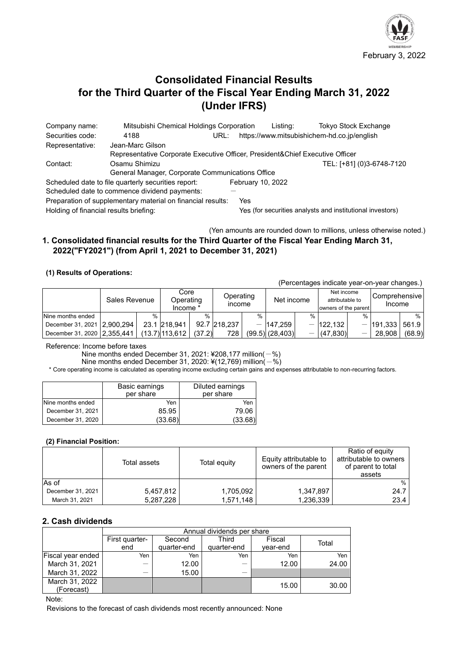

# **Consolidated Financial Results for the Third Quarter of the Fiscal Year Ending March 31, 2022 (Under IFRS)**

Company name: Mitsubishi Chemical Holdings Corporation Listing: Tokyo Stock Exchange Securities code: 4188 URL: https://www.mitsubishichem-hd.co.jp/english Representative: Jean-Marc Gilson Representative Corporate Executive Officer, President&Chief Executive Officer Contact: Osamu Shimizu TEL: [+81] (0)3-6748-7120 General Manager, Corporate Communications Office Scheduled date to file quarterly securities report: February 10, 2022 Scheduled date to commence dividend payments: Preparation of supplementary material on financial results: Yes Holding of financial results briefing: Yes (for securities analysts and institutional investors)

(Yen amounts are rounded down to millions, unless otherwise noted.)

# **1. Consolidated financial results for the Third Quarter of the Fiscal Year Ending March 31, 2022("FY2021") (from April 1, 2021 to December 31, 2021)**

# **(1) Results of Operations:**

(Percentages indicate year-on-year changes.)

|                             | Sales Revenue |      | Core<br>Operating<br>Income * |        | Operating<br><b>Income</b> |               | Net income        |                                 | Net income<br>attributable to<br>owners of the parent |               | Comprehensive l<br>Income |        |
|-----------------------------|---------------|------|-------------------------------|--------|----------------------------|---------------|-------------------|---------------------------------|-------------------------------------------------------|---------------|---------------------------|--------|
| Nine months ended           |               | $\%$ |                               | %      |                            | $\frac{0}{0}$ |                   | $\%$                            |                                                       | $\frac{0}{0}$ |                           | %      |
| December 31, 2021 2,900,294 |               |      | 23.1 218.941                  |        | 92.7 218.237               |               | $-147.259$        |                                 | $-122.132$                                            |               | $-$  191,333   561.9      |        |
| December 31, 2020 2.355.441 |               |      | $(13.7)$ 113.612              | (37.2) | 728                        |               | $(99.5)$ (28,403) | $\hspace{0.1mm}-\hspace{0.1mm}$ | (47.830)                                              |               | 28.908                    | (68.9) |

Reference: Income before taxes

Nine months ended December 31, 2021: ¥208,177 million( $-$ %)

Nine months ended December 31, 2020:  $*(12,769)$  million( $-$ %)

\* Core operating income is calculated as operating income excluding certain gains and expenses attributable to non-recurring factors.

|                   | Basic earnings<br>per share | Diluted earnings<br>per share |  |
|-------------------|-----------------------------|-------------------------------|--|
| Nine months ended | Yen                         | Yen                           |  |
| December 31, 2021 | 85.95                       | 79.06                         |  |
| December 31, 2020 | (33.68)                     | (33.68)                       |  |

### **(2) Financial Position:**

|                   | Total assets | Total equity | Equity attributable to<br>owners of the parent | Ratio of equity<br>attributable to owners<br>of parent to total<br>assets |
|-------------------|--------------|--------------|------------------------------------------------|---------------------------------------------------------------------------|
| As of             |              |              |                                                | %                                                                         |
| December 31, 2021 | 5,457,812    | 1,705,092    | 1,347,897                                      | 24.7                                                                      |
| March 31, 2021    | 5,287,228    | 1,571,148    | 1,236,339                                      | 23.4                                                                      |

# **2. Cash dividends**

|                          | Annual dividends per share |             |             |          |       |  |  |  |
|--------------------------|----------------------------|-------------|-------------|----------|-------|--|--|--|
|                          | First quarter-             | Second      | Third       | Fiscal   | Total |  |  |  |
|                          | end                        | quarter-end | quarter-end | vear-end |       |  |  |  |
| <b>Fiscal year ended</b> | Yen                        | Yen         | Yen         | Yen      | Yen   |  |  |  |
| March 31, 2021           |                            | 12.00       |             | 12.00    | 24.00 |  |  |  |
| March 31, 2022           |                            | 15.00       |             |          |       |  |  |  |
| March 31, 2022           |                            |             |             | 15.00    | 30.00 |  |  |  |
| (Forecast)               |                            |             |             |          |       |  |  |  |

Note:

Revisions to the forecast of cash dividends most recently announced: None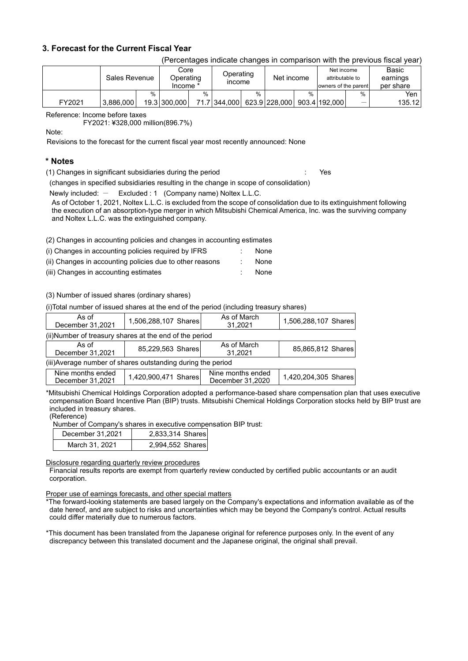# **3. Forecast for the Current Fiscal Year**

| (Percentages indicate changes in comparison with the previous fiscal year) |  |  |
|----------------------------------------------------------------------------|--|--|
|                                                                            |  |  |

|        | Sales Revenue |   | Core<br>Operating<br>Income * |   | Operating<br><b>Income</b> |      | Net income |      | Net income<br>attributable to<br>owners of the parent |   | Basic<br>earnings<br>per share |
|--------|---------------|---|-------------------------------|---|----------------------------|------|------------|------|-------------------------------------------------------|---|--------------------------------|
|        |               | % |                               | % |                            | $\%$ |            | $\%$ |                                                       | % | Yen                            |
| FY2021 | 3.886.000     |   | 19.3 300,000                  |   | 71.7 344.000 623.9 228.000 |      |            |      | 903.4 192.000                                         | – | 135.12                         |

Reference: Income before taxes

FY2021: ¥328,000 million(896.7%)

Note:

Revisions to the forecast for the current fiscal year most recently announced: None

# **\* Notes**

(1) Changes in significant subsidiaries during the period : Yes

(changes in specified subsidiaries resulting in the change in scope of consolidation)

Newly included: - Excluded: 1 (Company name) Noltex L.L.C.

As of October 1, 2021, Noltex L.L.C. is excluded from the scope of consolidation due to its extinguishment following the execution of an absorption-type merger in which Mitsubishi Chemical America, Inc. was the surviving company and Noltex L.L.C. was the extinguished company.

(2) Changes in accounting policies and changes in accounting estimates

| (i) Changes in accounting policies required by IFRS      | None |
|----------------------------------------------------------|------|
| (ii) Changes in accounting policies due to other reasons | None |
| $\cdots$ $\sim$                                          |      |

(iii) Changes in accounting estimates : None

(3) Number of issued shares (ordinary shares)

(i)Total number of issued shares at the end of the period (including treasury shares)

| As of<br>December 31,2021                                    | 1,506,288,107 Shares | As of March<br>31.2021 | 1,506,288,107 Shares |  |  |  |  |  |
|--------------------------------------------------------------|----------------------|------------------------|----------------------|--|--|--|--|--|
| (ii)Number of treasury shares at the end of the period       |                      |                        |                      |  |  |  |  |  |
| As of<br>December 31,2021                                    | 85,229,563 Shares    | As of March<br>31.2021 | 85,865,812 Shares    |  |  |  |  |  |
| (iii) Average number of shares outstanding during the period |                      |                        |                      |  |  |  |  |  |
| Nine months ended                                            | .                    | Nine months ended      | .                    |  |  |  |  |  |

| Nine months ended<br>December 31.2021 | 1,420,900,471 Shares | Nine months ended<br>December 31,2020 | 1,420,204,305 Shares |
|---------------------------------------|----------------------|---------------------------------------|----------------------|
|                                       |                      |                                       |                      |

\*Mitsubishi Chemical Holdings Corporation adopted a performance-based share compensation plan that uses executive compensation Board Incentive Plan (BIP) trusts. Mitsubishi Chemical Holdings Corporation stocks held by BIP trust are included in treasury shares.

### (Reference)

Number of Company's shares in executive compensation BIP trust:

| December 31.2021 | 2,833,314 Shares |
|------------------|------------------|
| March 31, 2021   | 2,994,552 Shares |

Disclosure regarding quarterly review procedures

Financial results reports are exempt from quarterly review conducted by certified public accountants or an audit corporation.

Proper use of earnings forecasts, and other special matters

\*The forward-looking statements are based largely on the Company's expectations and information available as of the date hereof, and are subject to risks and uncertainties which may be beyond the Company's control. Actual results could differ materially due to numerous factors.

\*This document has been translated from the Japanese original for reference purposes only. In the event of any discrepancy between this translated document and the Japanese original, the original shall prevail.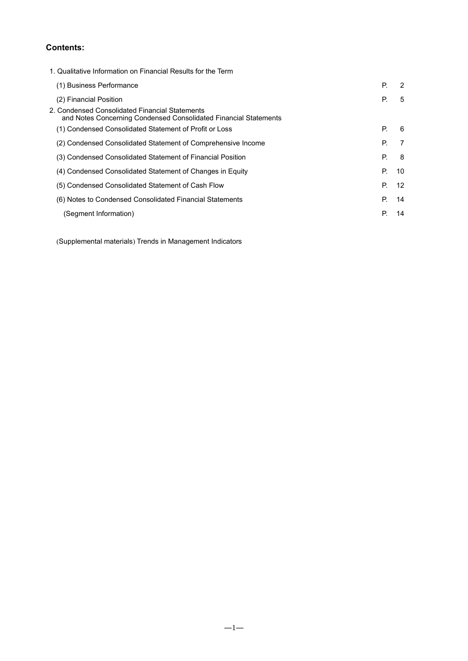# **Contents:**

| 1. Qualitative Information on Financial Results for the Term                                                       |    |    |
|--------------------------------------------------------------------------------------------------------------------|----|----|
| (1) Business Performance                                                                                           | P. | 2  |
| (2) Financial Position                                                                                             | Р. | 5  |
| 2. Condensed Consolidated Financial Statements<br>and Notes Concerning Condensed Consolidated Financial Statements |    |    |
| (1) Condensed Consolidated Statement of Profit or Loss                                                             | Р. | 6  |
| (2) Condensed Consolidated Statement of Comprehensive Income                                                       | Р. | 7  |
| (3) Condensed Consolidated Statement of Financial Position                                                         | Р. | 8  |
| (4) Condensed Consolidated Statement of Changes in Equity                                                          | Р. | 10 |
| (5) Condensed Consolidated Statement of Cash Flow                                                                  | P. | 12 |
| (6) Notes to Condensed Consolidated Financial Statements                                                           | Р. | 14 |
| (Segment Information)                                                                                              | Р. | 14 |

(Supplemental materials) Trends in Management Indicators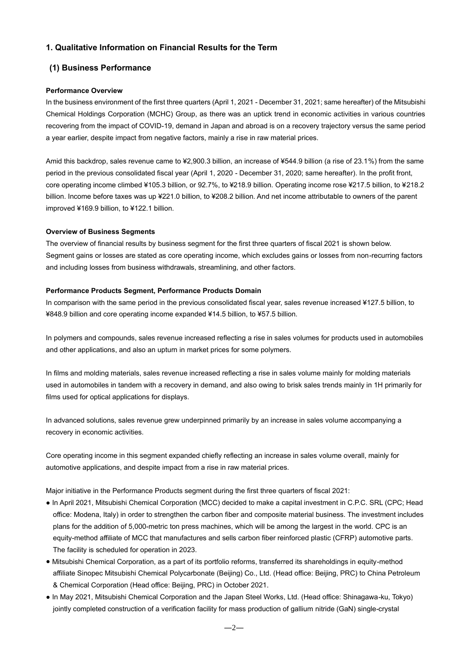# **1. Qualitative Information on Financial Results for the Term**

# **(1) Business Performance**

### **Performance Overview**

In the business environment of the first three quarters (April 1, 2021 - December 31, 2021; same hereafter) of the Mitsubishi Chemical Holdings Corporation (MCHC) Group, as there was an uptick trend in economic activities in various countries recovering from the impact of COVID-19, demand in Japan and abroad is on a recovery trajectory versus the same period a year earlier, despite impact from negative factors, mainly a rise in raw material prices.

Amid this backdrop, sales revenue came to ¥2,900.3 billion, an increase of ¥544.9 billion (a rise of 23.1%) from the same period in the previous consolidated fiscal year (April 1, 2020 - December 31, 2020; same hereafter). In the profit front, core operating income climbed ¥105.3 billion, or 92.7%, to ¥218.9 billion. Operating income rose ¥217.5 billion, to ¥218.2 billion. Income before taxes was up ¥221.0 billion, to ¥208.2 billion. And net income attributable to owners of the parent improved ¥169.9 billion, to ¥122.1 billion.

### **Overview of Business Segments**

The overview of financial results by business segment for the first three quarters of fiscal 2021 is shown below. Segment gains or losses are stated as core operating income, which excludes gains or losses from non-recurring factors and including losses from business withdrawals, streamlining, and other factors.

### **Performance Products Segment, Performance Products Domain**

In comparison with the same period in the previous consolidated fiscal year, sales revenue increased ¥127.5 billion, to ¥848.9 billion and core operating income expanded ¥14.5 billion, to ¥57.5 billion.

In polymers and compounds, sales revenue increased reflecting a rise in sales volumes for products used in automobiles and other applications, and also an upturn in market prices for some polymers.

In films and molding materials, sales revenue increased reflecting a rise in sales volume mainly for molding materials used in automobiles in tandem with a recovery in demand, and also owing to brisk sales trends mainly in 1H primarily for films used for optical applications for displays.

In advanced solutions, sales revenue grew underpinned primarily by an increase in sales volume accompanying a recovery in economic activities.

Core operating income in this segment expanded chiefly reflecting an increase in sales volume overall, mainly for automotive applications, and despite impact from a rise in raw material prices.

Major initiative in the Performance Products segment during the first three quarters of fiscal 2021:

- In April 2021, Mitsubishi Chemical Corporation (MCC) decided to make a capital investment in C.P.C. SRL (CPC; Head office: Modena, Italy) in order to strengthen the carbon fiber and composite material business. The investment includes plans for the addition of 5,000-metric ton press machines, which will be among the largest in the world. CPC is an equity-method affiliate of MCC that manufactures and sells carbon fiber reinforced plastic (CFRP) automotive parts. The facility is scheduled for operation in 2023.
- Mitsubishi Chemical Corporation, as a part of its portfolio reforms, transferred its shareholdings in equity-method affiliate Sinopec Mitsubishi Chemical Polycarbonate (Beijing) Co., Ltd. (Head office: Beijing, PRC) to China Petroleum & Chemical Corporation (Head office: Beijing, PRC) in October 2021.
- In May 2021, Mitsubishi Chemical Corporation and the Japan Steel Works, Ltd. (Head office: Shinagawa-ku, Tokyo) jointly completed construction of a verification facility for mass production of gallium nitride (GaN) single-crystal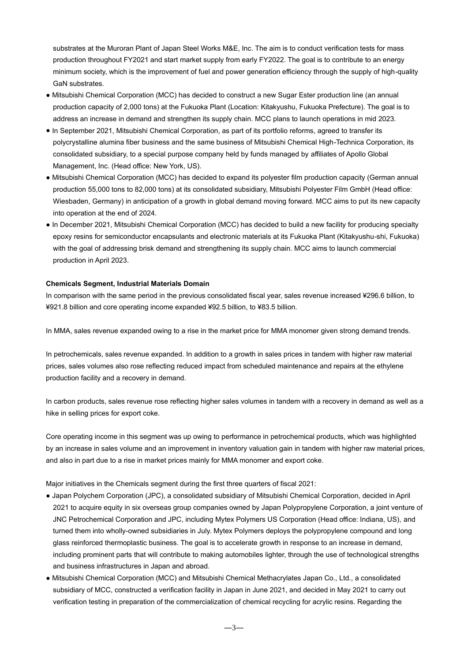substrates at the Muroran Plant of Japan Steel Works M&E, Inc. The aim is to conduct verification tests for mass production throughout FY2021 and start market supply from early FY2022. The goal is to contribute to an energy minimum society, which is the improvement of fuel and power generation efficiency through the supply of high-quality GaN substrates.

- Mitsubishi Chemical Corporation (MCC) has decided to construct a new Sugar Ester production line (an annual production capacity of 2,000 tons) at the Fukuoka Plant (Location: Kitakyushu, Fukuoka Prefecture). The goal is to address an increase in demand and strengthen its supply chain. MCC plans to launch operations in mid 2023.
- In September 2021, Mitsubishi Chemical Corporation, as part of its portfolio reforms, agreed to transfer its polycrystalline alumina fiber business and the same business of Mitsubishi Chemical High-Technica Corporation, its consolidated subsidiary, to a special purpose company held by funds managed by affiliates of Apollo Global Management, Inc. (Head office: New York, US).
- Mitsubishi Chemical Corporation (MCC) has decided to expand its polyester film production capacity (German annual production 55,000 tons to 82,000 tons) at its consolidated subsidiary, Mitsubishi Polyester Film GmbH (Head office: Wiesbaden, Germany) in anticipation of a growth in global demand moving forward. MCC aims to put its new capacity into operation at the end of 2024.
- In December 2021, Mitsubishi Chemical Corporation (MCC) has decided to build a new facility for producing specialty epoxy resins for semiconductor encapsulants and electronic materials at its Fukuoka Plant (Kitakyushu-shi, Fukuoka) with the goal of addressing brisk demand and strengthening its supply chain. MCC aims to launch commercial production in April 2023.

### **Chemicals Segment, Industrial Materials Domain**

In comparison with the same period in the previous consolidated fiscal year, sales revenue increased ¥296.6 billion, to ¥921.8 billion and core operating income expanded ¥92.5 billion, to ¥83.5 billion.

In MMA, sales revenue expanded owing to a rise in the market price for MMA monomer given strong demand trends.

In petrochemicals, sales revenue expanded. In addition to a growth in sales prices in tandem with higher raw material prices, sales volumes also rose reflecting reduced impact from scheduled maintenance and repairs at the ethylene production facility and a recovery in demand.

In carbon products, sales revenue rose reflecting higher sales volumes in tandem with a recovery in demand as well as a hike in selling prices for export coke.

Core operating income in this segment was up owing to performance in petrochemical products, which was highlighted by an increase in sales volume and an improvement in inventory valuation gain in tandem with higher raw material prices, and also in part due to a rise in market prices mainly for MMA monomer and export coke.

Major initiatives in the Chemicals segment during the first three quarters of fiscal 2021:

- Japan Polychem Corporation (JPC), a consolidated subsidiary of Mitsubishi Chemical Corporation, decided in April 2021 to acquire equity in six overseas group companies owned by Japan Polypropylene Corporation, a joint venture of JNC Petrochemical Corporation and JPC, including Mytex Polymers US Corporation (Head office: Indiana, US), and turned them into wholly-owned subsidiaries in July. Mytex Polymers deploys the polypropylene compound and long glass reinforced thermoplastic business. The goal is to accelerate growth in response to an increase in demand, including prominent parts that will contribute to making automobiles lighter, through the use of technological strengths and business infrastructures in Japan and abroad.
- Mitsubishi Chemical Corporation (MCC) and Mitsubishi Chemical Methacrylates Japan Co., Ltd., a consolidated subsidiary of MCC, constructed a verification facility in Japan in June 2021, and decided in May 2021 to carry out verification testing in preparation of the commercialization of chemical recycling for acrylic resins. Regarding the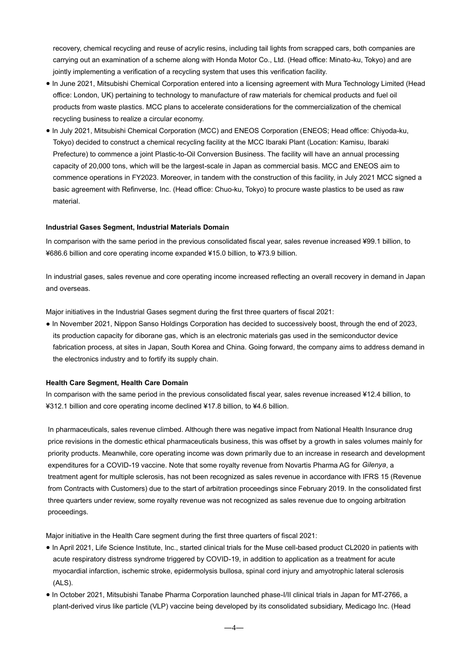recovery, chemical recycling and reuse of acrylic resins, including tail lights from scrapped cars, both companies are carrying out an examination of a scheme along with Honda Motor Co., Ltd. (Head office: Minato-ku, Tokyo) and are jointly implementing a verification of a recycling system that uses this verification facility.

- In June 2021, Mitsubishi Chemical Corporation entered into a licensing agreement with Mura Technology Limited (Head office: London, UK) pertaining to technology to manufacture of raw materials for chemical products and fuel oil products from waste plastics. MCC plans to accelerate considerations for the commercialization of the chemical recycling business to realize a circular economy.
- In July 2021, Mitsubishi Chemical Corporation (MCC) and ENEOS Corporation (ENEOS; Head office: Chiyoda-ku, Tokyo) decided to construct a chemical recycling facility at the MCC Ibaraki Plant (Location: Kamisu, Ibaraki Prefecture) to commence a joint Plastic-to-Oil Conversion Business. The facility will have an annual processing capacity of 20,000 tons, which will be the largest-scale in Japan as commercial basis. MCC and ENEOS aim to commence operations in FY2023. Moreover, in tandem with the construction of this facility, in July 2021 MCC signed a basic agreement with Refinverse, Inc. (Head office: Chuo-ku, Tokyo) to procure waste plastics to be used as raw material.

#### **Industrial Gases Segment, Industrial Materials Domain**

In comparison with the same period in the previous consolidated fiscal year, sales revenue increased ¥99.1 billion, to ¥686.6 billion and core operating income expanded ¥15.0 billion, to ¥73.9 billion.

In industrial gases, sales revenue and core operating income increased reflecting an overall recovery in demand in Japan and overseas.

Major initiatives in the Industrial Gases segment during the first three quarters of fiscal 2021:

● In November 2021, Nippon Sanso Holdings Corporation has decided to successively boost, through the end of 2023, its production capacity for diborane gas, which is an electronic materials gas used in the semiconductor device fabrication process, at sites in Japan, South Korea and China. Going forward, the company aims to address demand in the electronics industry and to fortify its supply chain.

#### **Health Care Segment, Health Care Domain**

In comparison with the same period in the previous consolidated fiscal year, sales revenue increased ¥12.4 billion, to ¥312.1 billion and core operating income declined ¥17.8 billion, to ¥4.6 billion.

In pharmaceuticals, sales revenue climbed. Although there was negative impact from National Health Insurance drug price revisions in the domestic ethical pharmaceuticals business, this was offset by a growth in sales volumes mainly for priority products. Meanwhile, core operating income was down primarily due to an increase in research and development expenditures for a COVID-19 vaccine. Note that some royalty revenue from Novartis Pharma AG for *Gilenya*, a treatment agent for multiple sclerosis, has not been recognized as sales revenue in accordance with IFRS 15 (Revenue from Contracts with Customers) due to the start of arbitration proceedings since February 2019. In the consolidated first three quarters under review, some royalty revenue was not recognized as sales revenue due to ongoing arbitration proceedings.

Major initiative in the Health Care segment during the first three quarters of fiscal 2021:

- In April 2021, Life Science Institute, Inc., started clinical trials for the Muse cell-based product CL2020 in patients with acute respiratory distress syndrome triggered by COVID-19, in addition to application as a treatment for acute myocardial infarction, ischemic stroke, epidermolysis bullosa, spinal cord injury and amyotrophic lateral sclerosis (ALS).
- In October 2021, Mitsubishi Tanabe Pharma Corporation launched phase-I/II clinical trials in Japan for MT-2766, a plant-derived virus like particle (VLP) vaccine being developed by its consolidated subsidiary, Medicago Inc. (Head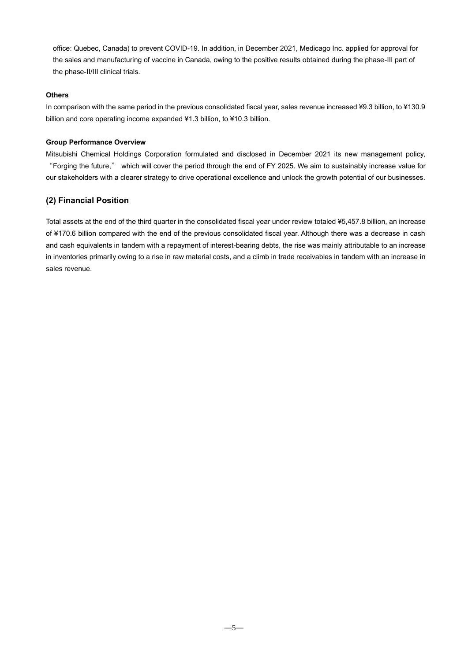office: Quebec, Canada) to prevent COVID-19. In addition, in December 2021, Medicago Inc. applied for approval for the sales and manufacturing of vaccine in Canada, owing to the positive results obtained during the phase-III part of the phase-II/III clinical trials.

### **Others**

In comparison with the same period in the previous consolidated fiscal year, sales revenue increased ¥9.3 billion, to ¥130.9 billion and core operating income expanded ¥1.3 billion, to ¥10.3 billion.

#### **Group Performance Overview**

Mitsubishi Chemical Holdings Corporation formulated and disclosed in December 2021 its new management policy, "Forging the future," which will cover the period through the end of FY 2025. We aim to sustainably increase value for our stakeholders with a clearer strategy to drive operational excellence and unlock the growth potential of our businesses.

### **(2) Financial Position**

Total assets at the end of the third quarter in the consolidated fiscal year under review totaled ¥5,457.8 billion, an increase of ¥170.6 billion compared with the end of the previous consolidated fiscal year. Although there was a decrease in cash and cash equivalents in tandem with a repayment of interest-bearing debts, the rise was mainly attributable to an increase in inventories primarily owing to a rise in raw material costs, and a climb in trade receivables in tandem with an increase in sales revenue.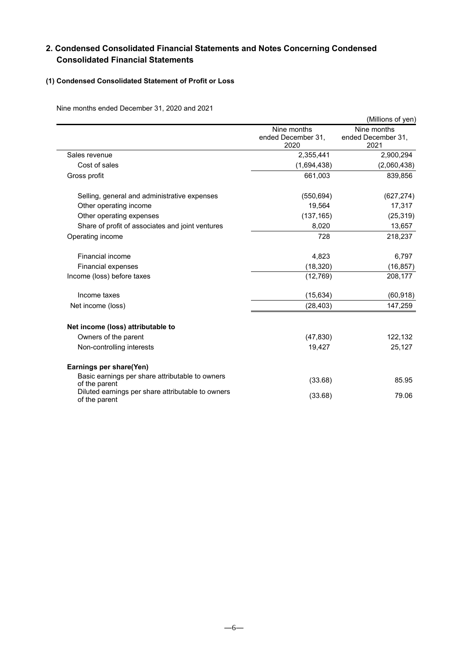# **2. Condensed Consolidated Financial Statements and Notes Concerning Condensed Consolidated Financial Statements**

# **(1) Condensed Consolidated Statement of Profit or Loss**

Nine months ended December 31, 2020 and 2021

|                                                                    |                                           | (Millions of yen)                         |
|--------------------------------------------------------------------|-------------------------------------------|-------------------------------------------|
|                                                                    | Nine months<br>ended December 31,<br>2020 | Nine months<br>ended December 31,<br>2021 |
| Sales revenue                                                      | 2,355,441                                 | 2,900,294                                 |
| Cost of sales                                                      | (1,694,438)                               | (2,060,438)                               |
| Gross profit                                                       | 661,003                                   | 839,856                                   |
| Selling, general and administrative expenses                       | (550, 694)                                | (627, 274)                                |
| Other operating income                                             | 19,564                                    | 17,317                                    |
| Other operating expenses                                           | (137, 165)                                | (25, 319)                                 |
| Share of profit of associates and joint ventures                   | 8,020                                     | 13,657                                    |
| Operating income                                                   | 728                                       | 218,237                                   |
| Financial income                                                   | 4,823                                     | 6,797                                     |
| <b>Financial expenses</b>                                          | (18, 320)                                 | (16, 857)                                 |
| Income (loss) before taxes                                         | (12, 769)                                 | 208,177                                   |
| Income taxes                                                       | (15, 634)                                 | (60, 918)                                 |
| Net income (loss)                                                  | (28, 403)                                 | 147,259                                   |
| Net income (loss) attributable to                                  |                                           |                                           |
| Owners of the parent                                               | (47, 830)                                 | 122,132                                   |
| Non-controlling interests                                          | 19,427                                    | 25,127                                    |
| Earnings per share(Yen)                                            |                                           |                                           |
| Basic earnings per share attributable to owners<br>of the parent   | (33.68)                                   | 85.95                                     |
| Diluted earnings per share attributable to owners<br>of the parent | (33.68)                                   | 79.06                                     |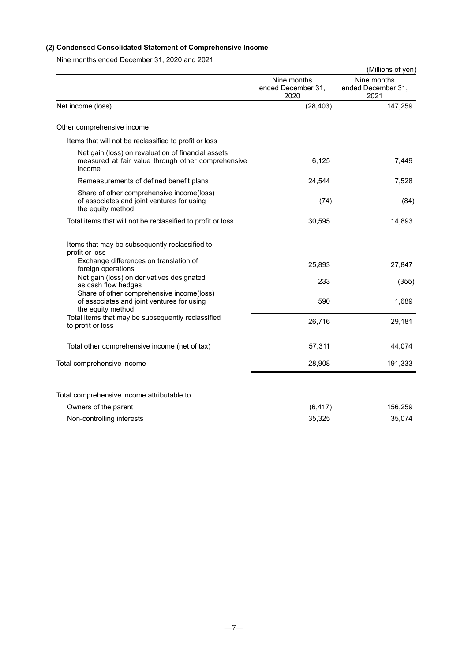# **(2) Condensed Consolidated Statement of Comprehensive Income**

Nine months ended December 31, 2020 and 2021

|                                                                                                                    |                                           | (Millions of yen)                         |
|--------------------------------------------------------------------------------------------------------------------|-------------------------------------------|-------------------------------------------|
|                                                                                                                    | Nine months<br>ended December 31,<br>2020 | Nine months<br>ended December 31,<br>2021 |
| Net income (loss)                                                                                                  | (28, 403)                                 | 147,259                                   |
| Other comprehensive income                                                                                         |                                           |                                           |
| Items that will not be reclassified to profit or loss                                                              |                                           |                                           |
| Net gain (loss) on revaluation of financial assets<br>measured at fair value through other comprehensive<br>income | 6,125                                     | 7.449                                     |
| Remeasurements of defined benefit plans                                                                            | 24,544                                    | 7,528                                     |
| Share of other comprehensive income(loss)<br>of associates and joint ventures for using<br>the equity method       | (74)                                      | (84)                                      |
| Total items that will not be reclassified to profit or loss                                                        | 30,595                                    | 14,893                                    |
| Items that may be subsequently reclassified to<br>profit or loss                                                   |                                           |                                           |
| Exchange differences on translation of<br>foreign operations                                                       | 25,893                                    | 27,847                                    |
| Net gain (loss) on derivatives designated<br>as cash flow hedges                                                   | 233                                       | (355)                                     |
| Share of other comprehensive income(loss)<br>of associates and joint ventures for using<br>the equity method       | 590                                       | 1,689                                     |
| Total items that may be subsequently reclassified<br>to profit or loss                                             | 26,716                                    | 29,181                                    |
| Total other comprehensive income (net of tax)                                                                      | 57,311                                    | 44,074                                    |
| Total comprehensive income                                                                                         | 28,908                                    | 191,333                                   |
|                                                                                                                    |                                           |                                           |
| Total comprehensive income attributable to                                                                         |                                           |                                           |
| Owners of the parent                                                                                               | (6, 417)                                  | 156,259                                   |
| Non-controlling interests                                                                                          | 35,325                                    | 35,074                                    |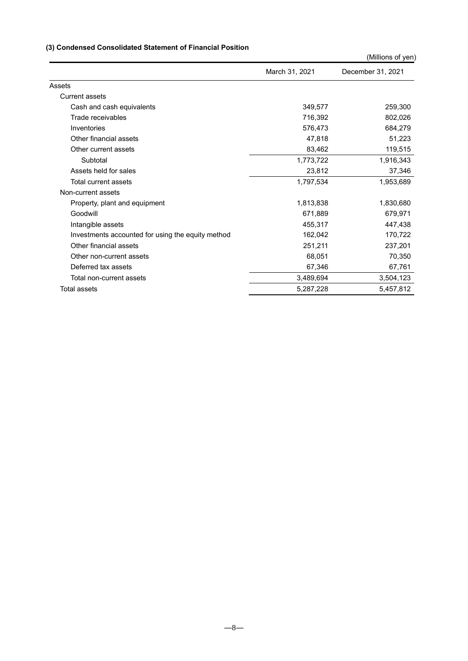# **(3) Condensed Consolidated Statement of Financial Position**

|                                                   |                | (Millions of yen) |
|---------------------------------------------------|----------------|-------------------|
|                                                   | March 31, 2021 | December 31, 2021 |
| Assets                                            |                |                   |
| Current assets                                    |                |                   |
| Cash and cash equivalents                         | 349,577        | 259,300           |
| Trade receivables                                 | 716,392        | 802,026           |
| Inventories                                       | 576,473        | 684.279           |
| Other financial assets                            | 47,818         | 51,223            |
| Other current assets                              | 83,462         | 119,515           |
| Subtotal                                          | 1,773,722      | 1,916,343         |
| Assets held for sales                             | 23,812         | 37,346            |
| Total current assets                              | 1,797,534      | 1,953,689         |
| Non-current assets                                |                |                   |
| Property, plant and equipment                     | 1,813,838      | 1,830,680         |
| Goodwill                                          | 671,889        | 679,971           |
| Intangible assets                                 | 455,317        | 447,438           |
| Investments accounted for using the equity method | 162,042        | 170,722           |
| Other financial assets                            | 251,211        | 237,201           |
| Other non-current assets                          | 68,051         | 70,350            |
| Deferred tax assets                               | 67,346         | 67,761            |
| Total non-current assets                          | 3,489,694      | 3,504,123         |
| Total assets                                      | 5,287,228      | 5,457,812         |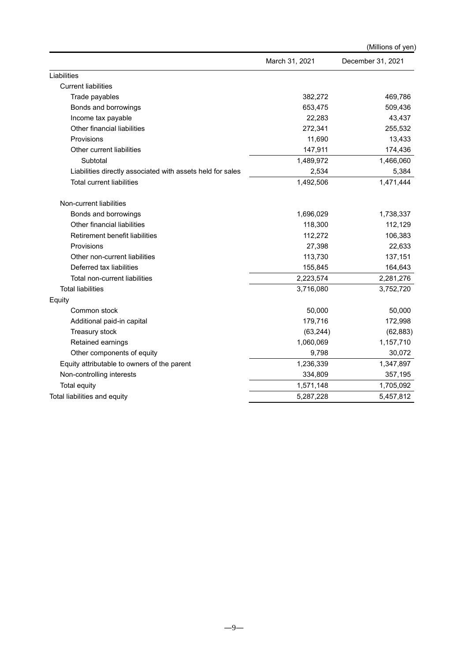|                                                            |                | (Millions of yen) |
|------------------------------------------------------------|----------------|-------------------|
|                                                            | March 31, 2021 | December 31, 2021 |
| Liabilities                                                |                |                   |
| <b>Current liabilities</b>                                 |                |                   |
| Trade payables                                             | 382,272        | 469,786           |
| Bonds and borrowings                                       | 653,475        | 509,436           |
| Income tax payable                                         | 22,283         | 43,437            |
| Other financial liabilities                                | 272,341        | 255,532           |
| Provisions                                                 | 11,690         | 13,433            |
| Other current liabilities                                  | 147,911        | 174,436           |
| Subtotal                                                   | 1,489,972      | 1,466,060         |
| Liabilities directly associated with assets held for sales | 2,534          | 5,384             |
| Total current liabilities                                  | 1,492,506      | 1,471,444         |
| Non-current liabilities                                    |                |                   |
| Bonds and borrowings                                       | 1,696,029      | 1,738,337         |
| Other financial liabilities                                | 118,300        | 112,129           |
| Retirement benefit liabilities                             | 112,272        | 106,383           |
| Provisions                                                 | 27,398         | 22,633            |
| Other non-current liabilities                              | 113,730        | 137,151           |
| Deferred tax liabilities                                   | 155,845        | 164,643           |
| Total non-current liabilities                              | 2,223,574      | 2,281,276         |
| <b>Total liabilities</b>                                   | 3,716,080      | 3,752,720         |
| Equity                                                     |                |                   |
| Common stock                                               | 50,000         | 50,000            |
| Additional paid-in capital                                 | 179,716        | 172,998           |
| Treasury stock                                             | (63, 244)      | (62, 883)         |
| Retained earnings                                          | 1,060,069      | 1,157,710         |
| Other components of equity                                 | 9,798          | 30,072            |
| Equity attributable to owners of the parent                | 1,236,339      | 1,347,897         |
| Non-controlling interests                                  | 334,809        | 357,195           |
| <b>Total equity</b>                                        | 1,571,148      | 1,705,092         |
| Total liabilities and equity                               | 5,287,228      | 5,457,812         |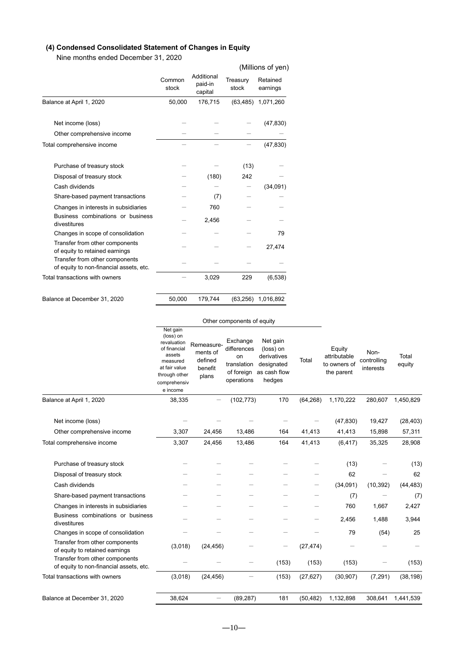# **(4) Condensed Consolidated Statement of Changes in Equity**

Nine months ended December 31, 2020

|                                                                           |                 |                                  |                   | (Millions of yen)    |
|---------------------------------------------------------------------------|-----------------|----------------------------------|-------------------|----------------------|
|                                                                           | Common<br>stock | Additional<br>paid-in<br>capital | Treasury<br>stock | Retained<br>earnings |
| Balance at April 1, 2020                                                  | 50,000          | 176,715                          |                   | (63,485) 1,071,260   |
| Net income (loss)                                                         |                 |                                  |                   | (47, 830)            |
| Other comprehensive income                                                |                 |                                  |                   |                      |
| Total comprehensive income                                                |                 |                                  |                   | (47, 830)            |
| Purchase of treasury stock                                                |                 |                                  | (13)              |                      |
| Disposal of treasury stock                                                |                 | (180)                            | 242               |                      |
| Cash dividends                                                            |                 |                                  |                   | (34,091)             |
| Share-based payment transactions                                          |                 | (7)                              |                   |                      |
| Changes in interests in subsidiaries                                      |                 | 760                              |                   |                      |
| Business combinations or business<br>divestitures                         |                 | 2,456                            |                   |                      |
| Changes in scope of consolidation                                         |                 |                                  |                   | 79                   |
| Transfer from other components<br>of equity to retained earnings          |                 |                                  |                   | 27,474               |
| Transfer from other components<br>of equity to non-financial assets, etc. |                 |                                  |                   |                      |
| Total transactions with owners                                            |                 | 3,029                            | 229               | (6, 538)             |
|                                                                           |                 |                                  |                   |                      |
| Balance at December 31, 2020                                              | 50,000          | 179,744                          |                   | (63,256) 1,016,892   |

### Other components of equity

|                                                                           | Net gain<br>(loss) on<br>revaluation<br>of financial<br>assets<br>measured<br>at fair value<br>through other<br>comprehensiv<br>e income | Remeasure-<br>ments of<br>defined<br>benefit<br>plans | Exchange<br>differences<br>on<br>translation<br>of foreign<br>operations | Net gain<br>(loss) on<br>derivatives<br>designated<br>as cash flow<br>hedges | Total     | Equity<br>attributable<br>to owners of<br>the parent | Non-<br>controlling<br>interests | Total<br>equity |
|---------------------------------------------------------------------------|------------------------------------------------------------------------------------------------------------------------------------------|-------------------------------------------------------|--------------------------------------------------------------------------|------------------------------------------------------------------------------|-----------|------------------------------------------------------|----------------------------------|-----------------|
| Balance at April 1, 2020                                                  | 38,335                                                                                                                                   |                                                       | (102, 773)                                                               | 170                                                                          | (64, 268) | 1,170,222                                            | 280,607                          | 1,450,829       |
| Net income (loss)                                                         |                                                                                                                                          |                                                       |                                                                          |                                                                              |           | (47, 830)                                            | 19,427                           | (28, 403)       |
| Other comprehensive income                                                | 3,307                                                                                                                                    | 24,456                                                | 13,486                                                                   | 164                                                                          | 41,413    | 41,413                                               | 15,898                           | 57,311          |
| Total comprehensive income                                                | 3,307                                                                                                                                    | 24,456                                                | 13,486                                                                   | 164                                                                          | 41,413    | (6, 417)                                             | 35,325                           | 28,908          |
| Purchase of treasury stock                                                |                                                                                                                                          |                                                       |                                                                          |                                                                              |           | (13)                                                 |                                  | (13)            |
| Disposal of treasury stock                                                |                                                                                                                                          |                                                       |                                                                          |                                                                              |           | 62                                                   |                                  | 62              |
| Cash dividends                                                            |                                                                                                                                          |                                                       |                                                                          |                                                                              |           | (34,091)                                             | (10, 392)                        | (44, 483)       |
| Share-based payment transactions                                          |                                                                                                                                          |                                                       |                                                                          |                                                                              |           | (7)                                                  |                                  | (7)             |
| Changes in interests in subsidiaries                                      |                                                                                                                                          |                                                       |                                                                          |                                                                              |           | 760                                                  | 1,667                            | 2,427           |
| Business combinations or business<br>divestitures                         |                                                                                                                                          |                                                       |                                                                          |                                                                              | -         | 2,456                                                | 1,488                            | 3,944           |
| Changes in scope of consolidation                                         |                                                                                                                                          |                                                       |                                                                          |                                                                              |           | 79                                                   | (54)                             | 25              |
| Transfer from other components<br>of equity to retained earnings          | (3,018)                                                                                                                                  | (24, 456)                                             |                                                                          | $\qquad \qquad -$                                                            | (27, 474) |                                                      |                                  |                 |
| Transfer from other components<br>of equity to non-financial assets, etc. |                                                                                                                                          |                                                       |                                                                          | (153)                                                                        | (153)     | (153)                                                |                                  | (153)           |
| Total transactions with owners                                            | (3,018)                                                                                                                                  | (24, 456)                                             |                                                                          | (153)                                                                        | (27, 627) | (30, 907)                                            | (7, 291)                         | (38, 198)       |
| Balance at December 31, 2020                                              | 38,624                                                                                                                                   |                                                       | (89, 287)                                                                | 181                                                                          | (50, 482) | 1,132,898                                            | 308,641                          | 1,441,539       |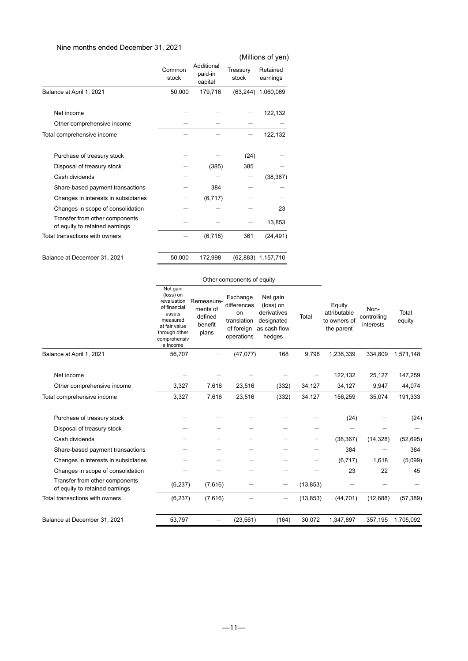# Nine months ended December 31, 2021

|                                                                  |                 |                                  |                   | (Millions of yen)    |
|------------------------------------------------------------------|-----------------|----------------------------------|-------------------|----------------------|
|                                                                  | Common<br>stock | Additional<br>paid-in<br>capital | Treasury<br>stock | Retained<br>earnings |
| Balance at April 1, 2021                                         | 50,000          | 179,716                          |                   | (63,244) 1,060,069   |
| Net income                                                       |                 |                                  |                   | 122,132              |
| Other comprehensive income                                       |                 |                                  |                   |                      |
| Total comprehensive income                                       |                 |                                  |                   | 122,132              |
| Purchase of treasury stock                                       |                 |                                  | (24)              |                      |
| Disposal of treasury stock                                       |                 | (385)                            | 385               |                      |
| Cash dividends                                                   |                 |                                  |                   | (38, 367)            |
| Share-based payment transactions                                 |                 | 384                              |                   |                      |
| Changes in interests in subsidiaries                             |                 | (6, 717)                         |                   |                      |
| Changes in scope of consolidation                                |                 |                                  |                   | 23                   |
| Transfer from other components<br>of equity to retained earnings |                 |                                  |                   | 13,853               |
| Total transactions with owners                                   |                 | (6, 718)                         | 361               | (24, 491)            |
| Balance at December 31, 2021                                     | 50,000          | 172,998                          |                   | (62,883) 1,157,710   |

|                                                                  |                                                                                                                                          |                                                       | Other components of equity                                               |                                                                              |           |                                                      |                                  |                   |  |
|------------------------------------------------------------------|------------------------------------------------------------------------------------------------------------------------------------------|-------------------------------------------------------|--------------------------------------------------------------------------|------------------------------------------------------------------------------|-----------|------------------------------------------------------|----------------------------------|-------------------|--|
|                                                                  | Net gain<br>(loss) on<br>revaluation<br>of financial<br>assets<br>measured<br>at fair value<br>through other<br>comprehensiv<br>e income | Remeasure-<br>ments of<br>defined<br>benefit<br>plans | Exchange<br>differences<br>on<br>translation<br>of foreign<br>operations | Net gain<br>(loss) on<br>derivatives<br>designated<br>as cash flow<br>hedges | Total     | Equity<br>attributable<br>to owners of<br>the parent | Non-<br>controlling<br>interests | Total<br>equity   |  |
| Balance at April 1, 2021                                         | 56,707                                                                                                                                   |                                                       | (47,077)                                                                 | 168                                                                          | 9,798     | 1,236,339                                            | 334,809                          | 1,571,148         |  |
| Net income<br>Other comprehensive income                         | 3,327                                                                                                                                    | 7,616                                                 | 23,516                                                                   | (332)                                                                        | 34,127    | 122,132<br>34,127                                    | 25,127<br>9,947                  | 147,259<br>44,074 |  |
| Total comprehensive income                                       | 3,327                                                                                                                                    | 7,616                                                 | 23,516                                                                   | (332)                                                                        | 34,127    | 156,259                                              | 35,074                           | 191,333           |  |
| Purchase of treasury stock<br>Disposal of treasury stock         |                                                                                                                                          |                                                       |                                                                          |                                                                              |           | (24)                                                 |                                  | (24)              |  |
| Cash dividends                                                   |                                                                                                                                          |                                                       |                                                                          |                                                                              | —         | (38, 367)                                            | (14, 328)                        | (52, 695)         |  |
| Share-based payment transactions                                 |                                                                                                                                          |                                                       |                                                                          |                                                                              |           | 384                                                  |                                  | 384               |  |
| Changes in interests in subsidiaries                             |                                                                                                                                          |                                                       |                                                                          |                                                                              |           | (6, 717)                                             | 1,618                            | (5,099)           |  |
| Changes in scope of consolidation                                |                                                                                                                                          |                                                       |                                                                          |                                                                              |           | 23                                                   | 22                               | 45                |  |
| Transfer from other components<br>of equity to retained earnings | (6, 237)                                                                                                                                 | (7,616)                                               |                                                                          | $\qquad \qquad -$                                                            | (13, 853) |                                                      |                                  |                   |  |
| Total transactions with owners                                   | (6, 237)                                                                                                                                 | (7,616)                                               |                                                                          | $\qquad \qquad -$                                                            | (13, 853) | (44, 701)                                            | (12,688)                         | (57, 389)         |  |
| Balance at December 31, 2021                                     | 53,797                                                                                                                                   | $\qquad \qquad$                                       | (23, 561)                                                                | (164)                                                                        | 30,072    | 1,347,897                                            | 357,195                          | 1,705,092         |  |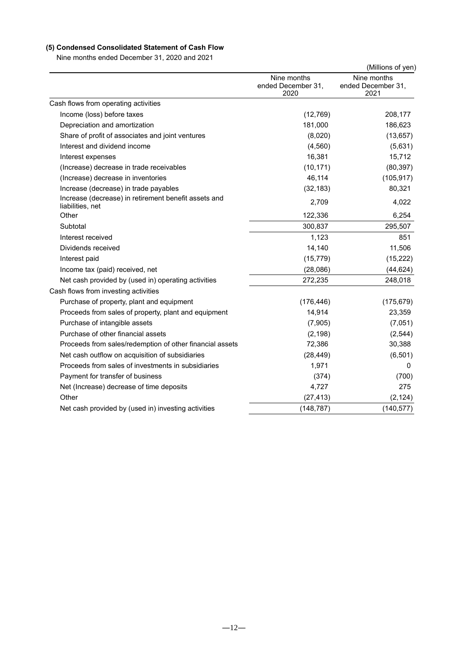# **(5) Condensed Consolidated Statement of Cash Flow**

Nine months ended December 31, 2020 and 2021

|                                                                          |                                           | (Millions of yen)                         |
|--------------------------------------------------------------------------|-------------------------------------------|-------------------------------------------|
|                                                                          | Nine months<br>ended December 31,<br>2020 | Nine months<br>ended December 31,<br>2021 |
| Cash flows from operating activities                                     |                                           |                                           |
| Income (loss) before taxes                                               | (12, 769)                                 | 208,177                                   |
| Depreciation and amortization                                            | 181,000                                   | 186,623                                   |
| Share of profit of associates and joint ventures                         | (8,020)                                   | (13, 657)                                 |
| Interest and dividend income                                             | (4, 560)                                  | (5,631)                                   |
| Interest expenses                                                        | 16,381                                    | 15,712                                    |
| (Increase) decrease in trade receivables                                 | (10, 171)                                 | (80, 397)                                 |
| (Increase) decrease in inventories                                       | 46,114                                    | (105, 917)                                |
| Increase (decrease) in trade payables                                    | (32, 183)                                 | 80,321                                    |
| Increase (decrease) in retirement benefit assets and<br>liabilities, net | 2,709                                     | 4,022                                     |
| Other                                                                    | 122,336                                   | 6,254                                     |
| Subtotal                                                                 | 300,837                                   | 295,507                                   |
| Interest received                                                        | 1,123                                     | 851                                       |
| Dividends received                                                       | 14,140                                    | 11,506                                    |
| Interest paid                                                            | (15, 779)                                 | (15, 222)                                 |
| Income tax (paid) received, net                                          | (28,086)                                  | (44, 624)                                 |
| Net cash provided by (used in) operating activities                      | 272,235                                   | 248,018                                   |
| Cash flows from investing activities                                     |                                           |                                           |
| Purchase of property, plant and equipment                                | (176, 446)                                | (175, 679)                                |
| Proceeds from sales of property, plant and equipment                     | 14,914                                    | 23,359                                    |
| Purchase of intangible assets                                            | (7,905)                                   | (7,051)                                   |
| Purchase of other financial assets                                       | (2, 198)                                  | (2, 544)                                  |
| Proceeds from sales/redemption of other financial assets                 | 72,386                                    | 30,388                                    |
| Net cash outflow on acquisition of subsidiaries                          | (28, 449)                                 | (6, 501)                                  |
| Proceeds from sales of investments in subsidiaries                       | 1,971                                     | 0                                         |
| Payment for transfer of business                                         | (374)                                     | (700)                                     |
| Net (Increase) decrease of time deposits                                 | 4,727                                     | 275                                       |
| Other                                                                    | (27, 413)                                 | (2, 124)                                  |
| Net cash provided by (used in) investing activities                      | (148, 787)                                | (140, 577)                                |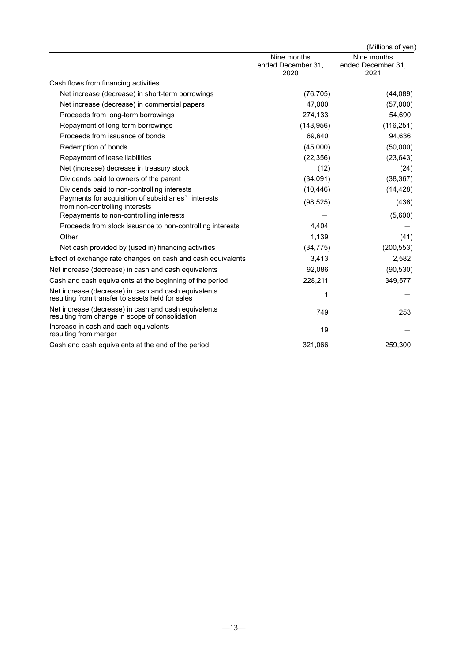|                                                                                                          |                                           | (Millions of yen)                         |
|----------------------------------------------------------------------------------------------------------|-------------------------------------------|-------------------------------------------|
|                                                                                                          | Nine months<br>ended December 31,<br>2020 | Nine months<br>ended December 31.<br>2021 |
| Cash flows from financing activities                                                                     |                                           |                                           |
| Net increase (decrease) in short-term borrowings                                                         | (76, 705)                                 | (44, 089)                                 |
| Net increase (decrease) in commercial papers                                                             | 47,000                                    | (57,000)                                  |
| Proceeds from long-term borrowings                                                                       | 274,133                                   | 54,690                                    |
| Repayment of long-term borrowings                                                                        | (143, 956)                                | (116, 251)                                |
| Proceeds from issuance of bonds                                                                          | 69,640                                    | 94,636                                    |
| Redemption of bonds                                                                                      | (45,000)                                  | (50,000)                                  |
| Repayment of lease liabilities                                                                           | (22, 356)                                 | (23, 643)                                 |
| Net (increase) decrease in treasury stock                                                                | (12)                                      | (24)                                      |
| Dividends paid to owners of the parent                                                                   | (34,091)                                  | (38, 367)                                 |
| Dividends paid to non-controlling interests                                                              | (10, 446)                                 | (14, 428)                                 |
| Payments for acquisition of subsidiaries' interests<br>from non-controlling interests                    | (98, 525)                                 | (436)                                     |
| Repayments to non-controlling interests                                                                  |                                           | (5,600)                                   |
| Proceeds from stock issuance to non-controlling interests                                                | 4,404                                     |                                           |
| Other                                                                                                    | 1,139                                     | (41)                                      |
| Net cash provided by (used in) financing activities                                                      | (34, 775)                                 | (200, 553)                                |
| Effect of exchange rate changes on cash and cash equivalents                                             | 3,413                                     | 2,582                                     |
| Net increase (decrease) in cash and cash equivalents                                                     | 92,086                                    | (90, 530)                                 |
| Cash and cash equivalents at the beginning of the period                                                 | 228,211                                   | 349,577                                   |
| Net increase (decrease) in cash and cash equivalents<br>resulting from transfer to assets held for sales | 1                                         |                                           |
| Net increase (decrease) in cash and cash equivalents<br>resulting from change in scope of consolidation  | 749                                       | 253                                       |
| Increase in cash and cash equivalents<br>resulting from merger                                           | 19                                        |                                           |
| Cash and cash equivalents at the end of the period                                                       | 321,066                                   | 259,300                                   |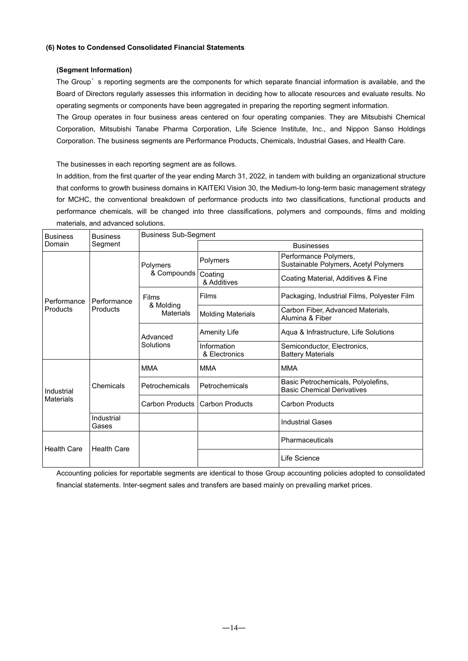### **(6) Notes to Condensed Consolidated Financial Statements**

### **(Segment Information)**

The Group's reporting segments are the components for which separate financial information is available, and the Board of Directors regularly assesses this information in deciding how to allocate resources and evaluate results. No operating segments or components have been aggregated in preparing the reporting segment information.

The Group operates in four business areas centered on four operating companies. They are Mitsubishi Chemical Corporation, Mitsubishi Tanabe Pharma Corporation, Life Science Institute, Inc., and Nippon Sanso Holdings Corporation. The business segments are Performance Products, Chemicals, Industrial Gases, and Health Care.

The businesses in each reporting segment are as follows.

In addition, from the first quarter of the year ending March 31, 2022, in tandem with building an organizational structure that conforms to growth business domains in KAITEKI Vision 30, the Medium-to long-term basic management strategy for MCHC, the conventional breakdown of performance products into two classifications, functional products and performance chemicals, will be changed into three classifications, polymers and compounds, films and molding materials, and advanced solutions.

| <b>Business</b>                | <b>Business</b>     | <b>Business Sub-Segment</b>   |                              |                                                                         |  |  |  |
|--------------------------------|---------------------|-------------------------------|------------------------------|-------------------------------------------------------------------------|--|--|--|
| Domain                         | Segment             |                               | <b>Businesses</b>            |                                                                         |  |  |  |
|                                |                     | Polymers                      | Polymers                     | Performance Polymers,<br>Sustainable Polymers, Acetyl Polymers          |  |  |  |
|                                |                     | & Compounds                   | Coating<br>& Additives       | Coating Material, Additives & Fine                                      |  |  |  |
| Performance<br>Products        | Performance         | <b>Films</b>                  | Films                        | Packaging, Industrial Films, Polyester Film                             |  |  |  |
|                                | Products            | & Molding<br><b>Materials</b> | <b>Molding Materials</b>     | Carbon Fiber, Advanced Materials,<br>Alumina & Fiber                    |  |  |  |
|                                |                     | Advanced                      | <b>Amenity Life</b>          | Aqua & Infrastructure, Life Solutions                                   |  |  |  |
|                                |                     | Solutions                     | Information<br>& Electronics | Semiconductor, Electronics,<br><b>Battery Materials</b>                 |  |  |  |
|                                |                     | <b>MMA</b>                    | <b>MMA</b>                   | <b>MMA</b>                                                              |  |  |  |
| Industrial<br><b>Materials</b> | Chemicals           | Petrochemicals                | Petrochemicals               | Basic Petrochemicals, Polyolefins,<br><b>Basic Chemical Derivatives</b> |  |  |  |
|                                |                     | Carbon Products               | <b>Carbon Products</b>       | <b>Carbon Products</b>                                                  |  |  |  |
|                                | Industrial<br>Gases |                               |                              | <b>Industrial Gases</b>                                                 |  |  |  |
| <b>Health Care</b>             | <b>Health Care</b>  |                               |                              | Pharmaceuticals                                                         |  |  |  |
|                                |                     |                               |                              | Life Science                                                            |  |  |  |

Accounting policies for reportable segments are identical to those Group accounting policies adopted to consolidated financial statements. Inter-segment sales and transfers are based mainly on prevailing market prices.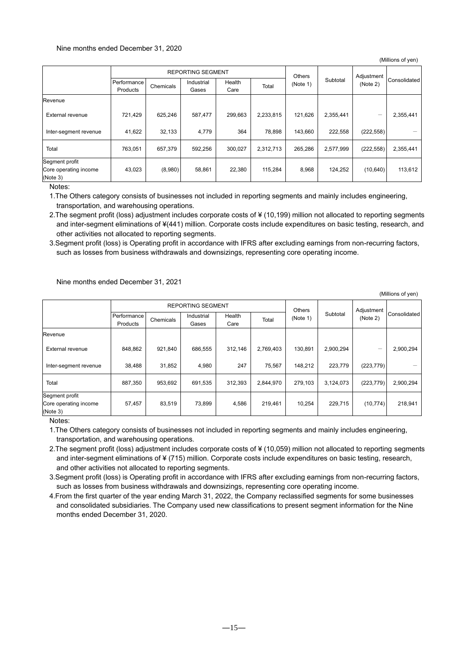### Nine months ended December 31, 2020

|                                                     | <b>REPORTING SEGMENT</b> |           |            |         |           | <b>Others</b> |           | Adjustment |              |
|-----------------------------------------------------|--------------------------|-----------|------------|---------|-----------|---------------|-----------|------------|--------------|
|                                                     | Performance              | Chemicals | Industrial | Health  | Total     | (Note 1)      | Subtotal  | (Note 2)   | Consolidated |
|                                                     | Products                 |           | Gases      | Care    |           |               |           |            |              |
| Revenue                                             |                          |           |            |         |           |               |           |            |              |
| <b>External revenue</b>                             | 721,429                  | 625,246   | 587,477    | 299,663 | 2,233,815 | 121,626       | 2,355,441 |            | 2,355,441    |
| Inter-segment revenue                               | 41,622                   | 32,133    | 4,779      | 364     | 78,898    | 143,660       | 222,558   | (222, 558) |              |
| Total                                               | 763,051                  | 657.379   | 592,256    | 300,027 | 2,312,713 | 265,286       | 2,577,999 | (222, 558) | 2,355,441    |
| Segment profit<br>Core operating income<br>(Note 3) | 43,023                   | (8,980)   | 58,861     | 22,380  | 115,284   | 8,968         | 124,252   | (10, 640)  | 113,612      |

Notes:

1.The Others category consists of businesses not included in reporting segments and mainly includes engineering, transportation, and warehousing operations.

2.The segment profit (loss) adjustment includes corporate costs of ¥ (10,199) million not allocated to reporting segments and inter-segment eliminations of ¥(441) million. Corporate costs include expenditures on basic testing, research, and other activities not allocated to reporting segments.

3.Segment profit (loss) is Operating profit in accordance with IFRS after excluding earnings from non-recurring factors, such as losses from business withdrawals and downsizings, representing core operating income.

Nine months ended December 31, 2021

(Millions of yen)

(Millions of yen)

|                                                     | <b>REPORTING SEGMENT</b> |           |            |         |           | <b>Others</b> |           | Adjustment |              |
|-----------------------------------------------------|--------------------------|-----------|------------|---------|-----------|---------------|-----------|------------|--------------|
|                                                     | Performance              | Chemicals | Industrial | Health  | Total     | (Note 1)      | Subtotal  | (Note 2)   | Consolidated |
|                                                     | Products                 |           | Gases      | Care    |           |               |           |            |              |
| Revenue                                             |                          |           |            |         |           |               |           |            |              |
| <b>External revenue</b>                             | 848,862                  | 921,840   | 686,555    | 312.146 | 2,769,403 | 130,891       | 2,900,294 | -          | 2,900,294    |
| Inter-segment revenue                               | 38,488                   | 31,852    | 4,980      | 247     | 75,567    | 148,212       | 223,779   | (223, 779) |              |
| Total                                               | 887,350                  | 953,692   | 691,535    | 312,393 | 2,844,970 | 279,103       | 3,124,073 | (223, 779) | 2,900,294    |
| Segment profit<br>Core operating income<br>(Note 3) | 57,457                   | 83,519    | 73,899     | 4,586   | 219,461   | 10.254        | 229,715   | (10, 774)  | 218,941      |

Notes:

1.The Others category consists of businesses not included in reporting segments and mainly includes engineering, transportation, and warehousing operations.

2.The segment profit (loss) adjustment includes corporate costs of ¥ (10,059) million not allocated to reporting segments and inter-segment eliminations of ¥ (715) million. Corporate costs include expenditures on basic testing, research, and other activities not allocated to reporting segments.

3.Segment profit (loss) is Operating profit in accordance with IFRS after excluding earnings from non-recurring factors, such as losses from business withdrawals and downsizings, representing core operating income.

4.From the first quarter of the year ending March 31, 2022, the Company reclassified segments for some businesses and consolidated subsidiaries. The Company used new classifications to present segment information for the Nine months ended December 31, 2020.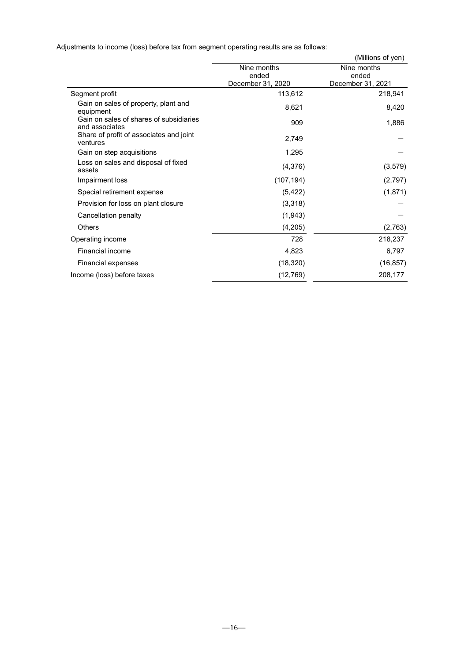Adjustments to income (loss) before tax from segment operating results are as follows:

|                                                           |                                           | (Millions of yen)                         |  |  |
|-----------------------------------------------------------|-------------------------------------------|-------------------------------------------|--|--|
|                                                           | Nine months<br>ended<br>December 31, 2020 | Nine months<br>ended<br>December 31, 2021 |  |  |
| Segment profit                                            | 113,612                                   | 218,941                                   |  |  |
| Gain on sales of property, plant and<br>equipment         | 8,621                                     | 8,420                                     |  |  |
| Gain on sales of shares of subsidiaries<br>and associates | 909                                       | 1,886                                     |  |  |
| Share of profit of associates and joint<br>ventures       | 2,749                                     |                                           |  |  |
| Gain on step acquisitions                                 | 1,295                                     |                                           |  |  |
| Loss on sales and disposal of fixed<br>assets             | (4,376)                                   | (3, 579)                                  |  |  |
| Impairment loss                                           | (107, 194)                                | (2,797)                                   |  |  |
| Special retirement expense                                | (5, 422)                                  | (1,871)                                   |  |  |
| Provision for loss on plant closure                       | (3,318)                                   |                                           |  |  |
| Cancellation penalty                                      | (1,943)                                   |                                           |  |  |
| <b>Others</b>                                             | (4,205)                                   | (2,763)                                   |  |  |
| Operating income                                          | 728                                       | 218,237                                   |  |  |
| Financial income                                          | 4,823                                     | 6,797                                     |  |  |
| Financial expenses                                        | (18, 320)                                 | (16, 857)                                 |  |  |
| Income (loss) before taxes                                | (12, 769)                                 | 208,177                                   |  |  |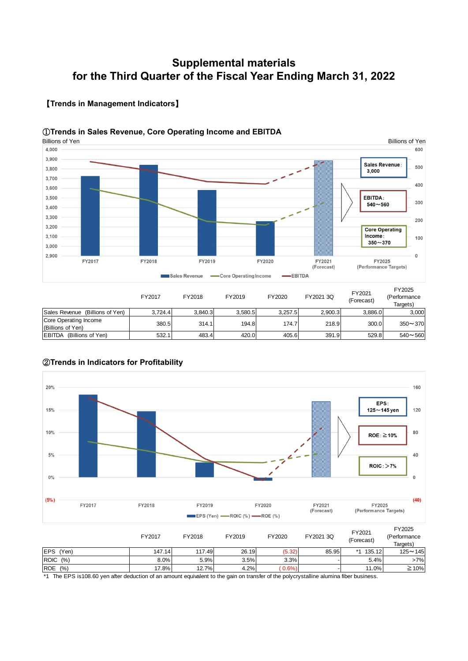# **Supplemental materials for the Third Quarter of the Fiscal Year Ending March 31, 2022**

#### Billions of Yen Billions of Yen4,000 600 3,900 Sales Revenue: 500 3,800 3,000 3,700 400 3.600 EBITDA: 3,500 300  $540 - 560$ 3,400 3,300 200 3,200 **Core Operating** Income: 3,100 100  $350 - 370$ 3,000 2,900  $\overline{0}$ FY2017 FY2018 FY2019 FY2020 FY2021 FY2025 (Forecast) (Performance Targets) Sales Revenue -Core Operating Income -EBITDA FY2025 FY2017 FY2018 FY2019 FY2020 FY2021 3Q FY2021 (Performance (Forecast) Targets) Sales Revenue (Billions of Yen)  $\begin{array}{|l} 3,724.4 & 3,840.3 & 3,580.5 \end{array}$  3,257.5  $\begin{array}{|l} 2,900.3 & 3,886.0 & 3,000 \end{array}$ Core Operating Income Cole Operating income  $(380.5$  380.5 314.1  $194.8$  174.7  $218.9$  300.0 350~370

EBITDA (Billions of Yen) 532.1 483.4 420.0 405.6 391.9 529.8 540~560

# 【**Trends in Management Indicators**】

### ①**Trends in Sales Revenue, Core Operating Income and EBITDA**



# ②**Trends in Indicators for Profitability**

\*1 The EPS is108.60 yen after deduction of an amount equivalent to the gain on transfer of the polycrystalline alumina fiber business.